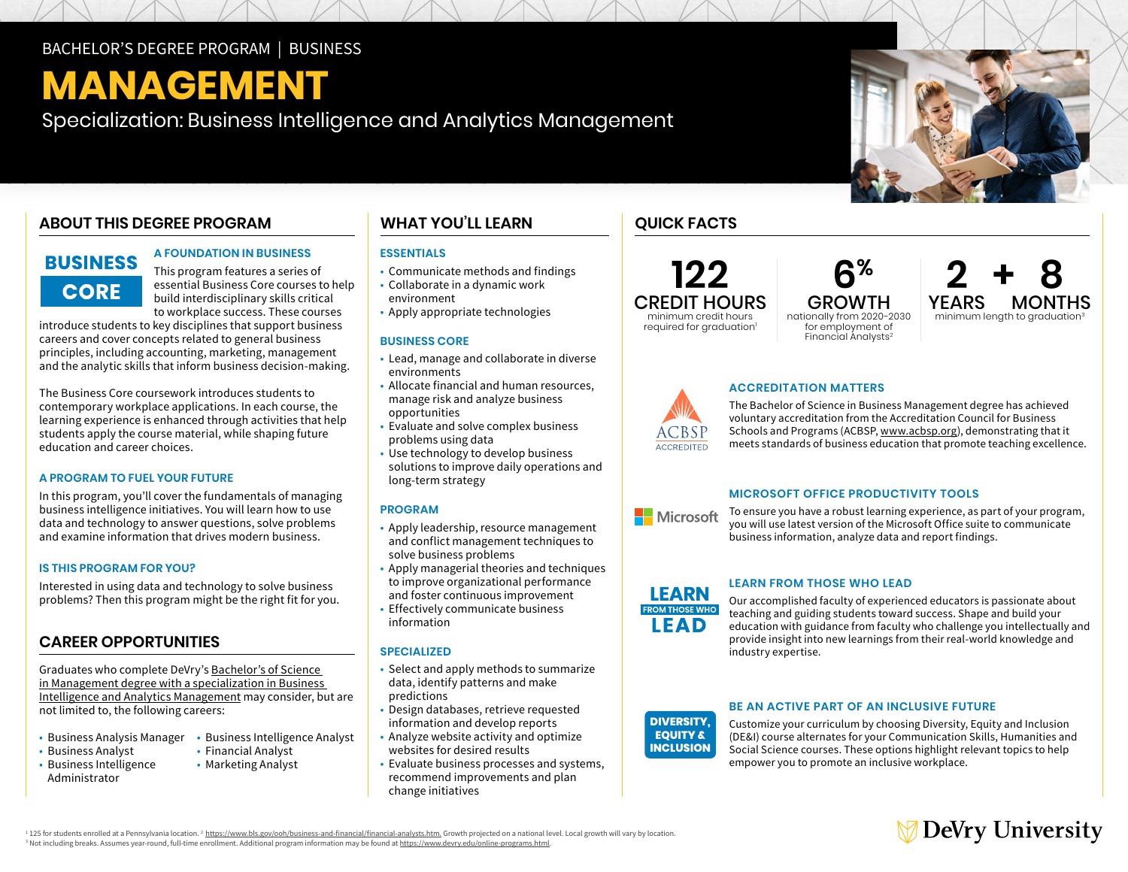#### BACHELOR'S DEGREE PROGRAM | BUSINESS

# **MANAGEMENT**

Specialization: Business Intelligence and Analytics Management

### **ABOUT THIS DEGREE PROGRAM**

### **BUSINESS CORE**

#### **A FOUNDATION IN BUSINESS**

This program features a series of essential Business Core courses to help build interdisciplinary skills critical to workplace success. These courses

introduce students to key disciplines that support business careers and cover concepts related to general business principles, including accounting, marketing, management and the analytic skills that inform business decision-making.

The Business Core coursework introduces students to contemporary workplace applications. In each course, the learning experience is enhanced through activities that help students apply the course material, while shaping future education and career choices.

#### **A PROGRAM TO FUEL YOUR FUTURE**

In this program, you'll cover the fundamentals of managing business intelligence initiatives. You will learn how to use data and technology to answer questions, solve problems and examine information that drives modern business.

#### **IS THIS PROGRAM FOR YOU?**

Interested in using data and technology to solve business problems? Then this program might be the right fit for you.

### **CAREER OPPORTUNITIES**

Graduates who complete DeVry's [Bachelor's of Science](https://www.devry.edu/online-programs/bachelors-degrees/business/business-intelligence-and-analytics-management-specialization.html)  [in Management degree with a specialization in Business](https://www.devry.edu/online-programs/bachelors-degrees/business/business-intelligence-and-analytics-management-specialization.html)  [Intelligence and Analytics Management](https://www.devry.edu/online-programs/bachelors-degrees/business/business-intelligence-and-analytics-management-specialization.html) may consider, but are not limited to, the following careers:

- Business Analysis Manager Business Intelligence Analyst
- Business Analyst
- Business Intelligence Administrator
- Financial Analyst
- Marketing Analyst

#### **WHAT YOU'LL LEARN QUICK FACTS**

#### **ESSENTIALS**

- Communicate methods and findings
- Collaborate in a dynamic work environment
- Apply appropriate technologies

#### **BUSINESS CORE**

- Lead, manage and collaborate in diverse environments
- Allocate financial and human resources, manage risk and analyze business opportunities
- Evaluate and solve complex business problems using data
- Use technology to develop business solutions to improve daily operations and long-term strategy

#### **PROGRAM**

- Apply leadership, resource management and conflict management techniques to solve business problems
- Apply managerial theories and techniques to improve organizational performance and foster continuous improvement
- Effectively communicate business information

#### **SPECIALIZED**

- Select and apply methods to summarize data, identify patterns and make predictions
- Design databases, retrieve requested information and develop reports
- Analyze website activity and optimize websites for desired results
- Evaluate business processes and systems, recommend improvements and plan change initiatives

**122** CREDIT HOURS minimum credit hours required for graduation<sup>1</sup>

GROWTH nationally from 2020-2030 for employment of Financial Analysts2

 **6%**



### **ACCREDITATION MATTERS**

The Bachelor of Science in Business Management degree has achieved voluntary accreditation from the Accreditation Council for Business Schools and Programs (ACBSP, www.acbsp.org), demonstrating that it meets standards of business education that promote teaching excellence.

#### **MICROSOFT OFFICE PRODUCTIVITY TOOLS**

Microsoft

To ensure you have a robust learning experience, as part of your program, you will use latest version of the Microsoft Office suite to communicate business information, analyze data and report findings.



**ACCREDITED** 

#### **LEARN FROM THOSE WHO LEAD**

**DIVERSITY,** industry expertise.Our accomplished faculty of experienced educators is passionate about teaching and guiding students toward success. Shape and build your education with guidance from faculty who challenge you intellectually and provide insight into new learnings from their real-world knowledge and

#### **DIVERSITY, EQUITY & INCLUSION**

#### **BE AN ACTIVE PART OF AN INCLUSIVE FUTURE**

Customize your curriculum by choosing Diversity, Equity and Inclusion (DE&I) course alternates for your Communication Skills, Humanities and Social Science courses. These options highlight relevant topics to help empower you to promote an inclusive workplace.



<sup>1</sup> 125 for students enrolled at a Pennsylvania location. <sup>2</sup> [https://www.bls.gov/ooh/business-and-financial/financial-analysts.htm.](https://www.bls.gov/ooh/business-and-financial/financial-analysts.htm) Growth projected on a national level. Local growth will vary by location. <sup>3</sup> Not including breaks. Assumes year-round, full-time enrollment. Additional program information may be found at <u>[https://www.devry.edu/](https://www.devry.edu/online-programs.html)online-programs.html</u>.